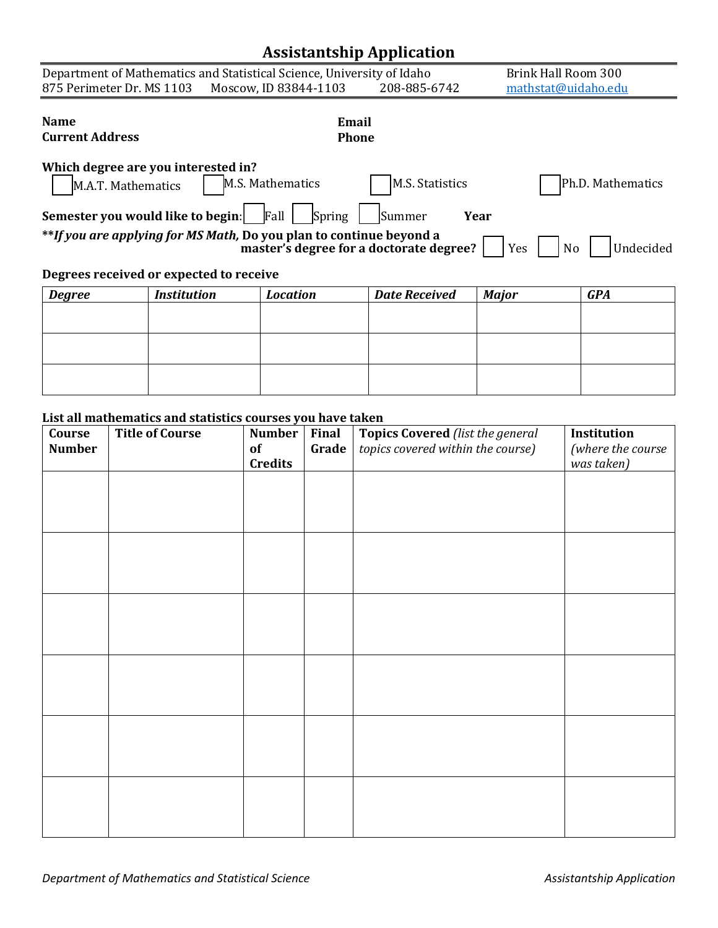## **Assistantship Application**

|                                                                                                                                                                                                                                                                       |              |                       | r r           |                     |                     |  |
|-----------------------------------------------------------------------------------------------------------------------------------------------------------------------------------------------------------------------------------------------------------------------|--------------|-----------------------|---------------|---------------------|---------------------|--|
| Department of Mathematics and Statistical Science, University of Idaho                                                                                                                                                                                                |              |                       |               |                     | Brink Hall Room 300 |  |
| 875 Perimeter Dr. MS 1103                                                                                                                                                                                                                                             |              | Moscow, ID 83844-1103 | 208-885-6742  | mathstat@uidaho.edu |                     |  |
|                                                                                                                                                                                                                                                                       |              |                       |               |                     |                     |  |
| <b>Name</b>                                                                                                                                                                                                                                                           | Email        |                       |               |                     |                     |  |
| <b>Current Address</b>                                                                                                                                                                                                                                                | <b>Phone</b> |                       |               |                     |                     |  |
| Which degree are you interested in?<br>M.S. Mathematics<br>M.S. Statistics<br>Ph.D. Mathematics<br>M.A.T. Mathematics<br>Semester you would like to begin:<br>Fall<br>Spring<br>Summer<br>Year<br>**If you are applying for MS Math, Do you plan to continue beyond a |              |                       |               |                     |                     |  |
| Undecided<br>master's degree for a doctorate degree?<br>N <sub>o</sub><br>Yes                                                                                                                                                                                         |              |                       |               |                     |                     |  |
| Degrees received or expected to receive                                                                                                                                                                                                                               |              |                       |               |                     |                     |  |
| Dogroo                                                                                                                                                                                                                                                                | Inctitution  | Location              | Data Docaived | Mation              | CDA                 |  |

## *Degree Institution Location Date Received Major GPA*

## **List all mathematics and statistics courses you have taken**

| Course        | <b>Title of Course</b> | <b>Number</b>  | Final | <b>Topics Covered (list the general</b> | Institution       |
|---------------|------------------------|----------------|-------|-----------------------------------------|-------------------|
| <b>Number</b> |                        | of             | Grade | topics covered within the course)       | (where the course |
|               |                        | <b>Credits</b> |       |                                         | was taken)        |
|               |                        |                |       |                                         |                   |
|               |                        |                |       |                                         |                   |
|               |                        |                |       |                                         |                   |
|               |                        |                |       |                                         |                   |
|               |                        |                |       |                                         |                   |
|               |                        |                |       |                                         |                   |
|               |                        |                |       |                                         |                   |
|               |                        |                |       |                                         |                   |
|               |                        |                |       |                                         |                   |
|               |                        |                |       |                                         |                   |
|               |                        |                |       |                                         |                   |
|               |                        |                |       |                                         |                   |
|               |                        |                |       |                                         |                   |
|               |                        |                |       |                                         |                   |
|               |                        |                |       |                                         |                   |
|               |                        |                |       |                                         |                   |
|               |                        |                |       |                                         |                   |
|               |                        |                |       |                                         |                   |
|               |                        |                |       |                                         |                   |
|               |                        |                |       |                                         |                   |
|               |                        |                |       |                                         |                   |
|               |                        |                |       |                                         |                   |